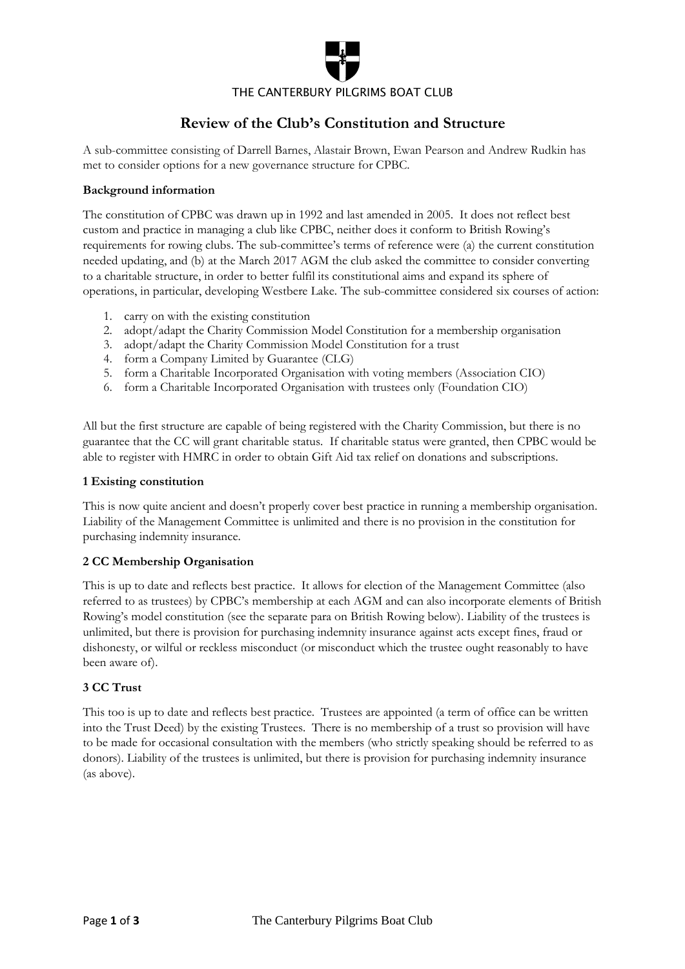

# **Review of the Club's Constitution and Structure**

A sub-committee consisting of Darrell Barnes, Alastair Brown, Ewan Pearson and Andrew Rudkin has met to consider options for a new governance structure for CPBC.

## **Background information**

The constitution of CPBC was drawn up in 1992 and last amended in 2005. It does not reflect best custom and practice in managing a club like CPBC, neither does it conform to British Rowing's requirements for rowing clubs. The sub-committee's terms of reference were (a) the current constitution needed updating, and (b) at the March 2017 AGM the club asked the committee to consider converting to a charitable structure, in order to better fulfil its constitutional aims and expand its sphere of operations, in particular, developing Westbere Lake. The sub-committee considered six courses of action:

- 1. carry on with the existing constitution
- 2. adopt/adapt the Charity Commission Model Constitution for a membership organisation
- 3. adopt/adapt the Charity Commission Model Constitution for a trust
- 4. form a Company Limited by Guarantee (CLG)
- 5. form a Charitable Incorporated Organisation with voting members (Association CIO)
- 6. form a Charitable Incorporated Organisation with trustees only (Foundation CIO)

All but the first structure are capable of being registered with the Charity Commission, but there is no guarantee that the CC will grant charitable status. If charitable status were granted, then CPBC would be able to register with HMRC in order to obtain Gift Aid tax relief on donations and subscriptions.

### **1 Existing constitution**

This is now quite ancient and doesn't properly cover best practice in running a membership organisation. Liability of the Management Committee is unlimited and there is no provision in the constitution for purchasing indemnity insurance.

### **2 CC Membership Organisation**

This is up to date and reflects best practice. It allows for election of the Management Committee (also referred to as trustees) by CPBC's membership at each AGM and can also incorporate elements of British Rowing's model constitution (see the separate para on British Rowing below). Liability of the trustees is unlimited, but there is provision for purchasing indemnity insurance against acts except fines, fraud or dishonesty, or wilful or reckless misconduct (or misconduct which the trustee ought reasonably to have been aware of).

### **3 CC Trust**

This too is up to date and reflects best practice. Trustees are appointed (a term of office can be written into the Trust Deed) by the existing Trustees. There is no membership of a trust so provision will have to be made for occasional consultation with the members (who strictly speaking should be referred to as donors). Liability of the trustees is unlimited, but there is provision for purchasing indemnity insurance (as above).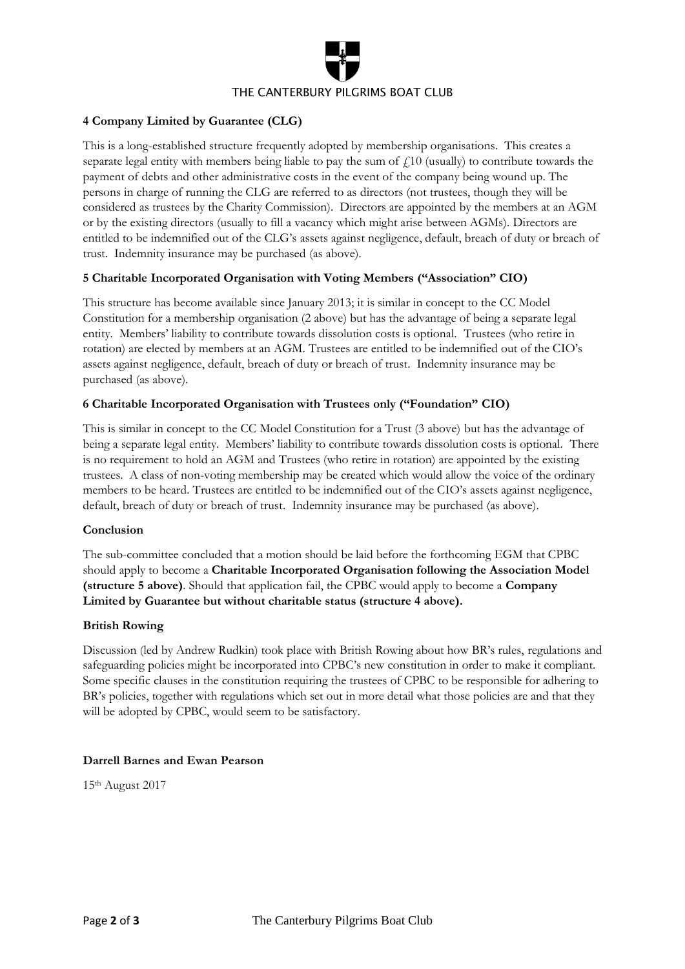

## **4 Company Limited by Guarantee (CLG)**

This is a long-established structure frequently adopted by membership organisations. This creates a separate legal entity with members being liable to pay the sum of  $f<sub>10</sub>$  (usually) to contribute towards the payment of debts and other administrative costs in the event of the company being wound up. The persons in charge of running the CLG are referred to as directors (not trustees, though they will be considered as trustees by the Charity Commission). Directors are appointed by the members at an AGM or by the existing directors (usually to fill a vacancy which might arise between AGMs). Directors are entitled to be indemnified out of the CLG's assets against negligence, default, breach of duty or breach of trust. Indemnity insurance may be purchased (as above).

### **5 Charitable Incorporated Organisation with Voting Members ("Association" CIO)**

This structure has become available since January 2013; it is similar in concept to the CC Model Constitution for a membership organisation (2 above) but has the advantage of being a separate legal entity. Members' liability to contribute towards dissolution costs is optional. Trustees (who retire in rotation) are elected by members at an AGM. Trustees are entitled to be indemnified out of the CIO's assets against negligence, default, breach of duty or breach of trust. Indemnity insurance may be purchased (as above).

### **6 Charitable Incorporated Organisation with Trustees only ("Foundation" CIO)**

This is similar in concept to the CC Model Constitution for a Trust (3 above) but has the advantage of being a separate legal entity. Members' liability to contribute towards dissolution costs is optional. There is no requirement to hold an AGM and Trustees (who retire in rotation) are appointed by the existing trustees. A class of non-voting membership may be created which would allow the voice of the ordinary members to be heard. Trustees are entitled to be indemnified out of the CIO's assets against negligence, default, breach of duty or breach of trust. Indemnity insurance may be purchased (as above).

### **Conclusion**

The sub-committee concluded that a motion should be laid before the forthcoming EGM that CPBC should apply to become a **Charitable Incorporated Organisation following the Association Model (structure 5 above)**. Should that application fail, the CPBC would apply to become a **Company Limited by Guarantee but without charitable status (structure 4 above).**

### **British Rowing**

Discussion (led by Andrew Rudkin) took place with British Rowing about how BR's rules, regulations and safeguarding policies might be incorporated into CPBC's new constitution in order to make it compliant. Some specific clauses in the constitution requiring the trustees of CPBC to be responsible for adhering to BR's policies, together with regulations which set out in more detail what those policies are and that they will be adopted by CPBC, would seem to be satisfactory.

### **Darrell Barnes and Ewan Pearson**

15th August 2017